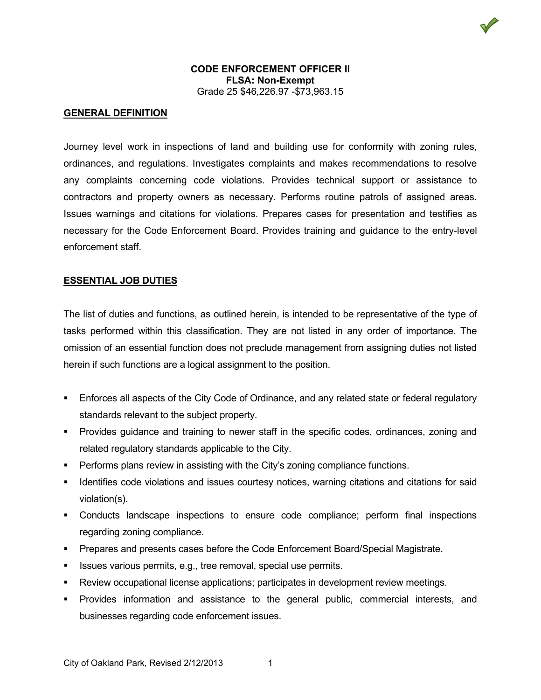

### **CODE ENFORCEMENT OFFICER II FLSA: Non-Exempt** Grade 25 \$46,226.97 -\$73,963.15

# **GENERAL DEFINITION**

Journey level work in inspections of land and building use for conformity with zoning rules, ordinances, and regulations. Investigates complaints and makes recommendations to resolve any complaints concerning code violations. Provides technical support or assistance to contractors and property owners as necessary. Performs routine patrols of assigned areas. Issues warnings and citations for violations. Prepares cases for presentation and testifies as necessary for the Code Enforcement Board. Provides training and guidance to the entry-level enforcement staff.

## **ESSENTIAL JOB DUTIES**

The list of duties and functions, as outlined herein, is intended to be representative of the type of tasks performed within this classification. They are not listed in any order of importance. The omission of an essential function does not preclude management from assigning duties not listed herein if such functions are a logical assignment to the position.

- **Enforces all aspects of the City Code of Ordinance, and any related state or federal regulatory** standards relevant to the subject property.
- Provides guidance and training to newer staff in the specific codes, ordinances, zoning and related regulatory standards applicable to the City.
- **Performs plans review in assisting with the City's zoning compliance functions.**
- Identifies code violations and issues courtesy notices, warning citations and citations for said violation(s).
- Conducts landscape inspections to ensure code compliance; perform final inspections regarding zoning compliance.
- **Prepares and presents cases before the Code Enforcement Board/Special Magistrate.**
- Issues various permits, e.g., tree removal, special use permits.
- Review occupational license applications; participates in development review meetings.
- Provides information and assistance to the general public, commercial interests, and businesses regarding code enforcement issues.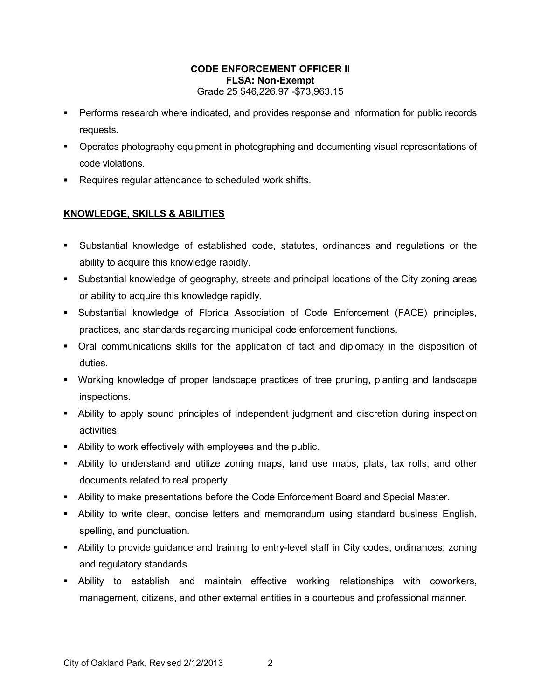## **CODE ENFORCEMENT OFFICER II FLSA: Non-Exempt** Grade 25 \$46,226.97 -\$73,963.15

- Performs research where indicated, and provides response and information for public records requests.
- **•** Operates photography equipment in photographing and documenting visual representations of code violations.
- **Requires regular attendance to scheduled work shifts.**

# **KNOWLEDGE, SKILLS & ABILITIES**

- Substantial knowledge of established code, statutes, ordinances and regulations or the ability to acquire this knowledge rapidly.
- Substantial knowledge of geography, streets and principal locations of the City zoning areas or ability to acquire this knowledge rapidly.
- Substantial knowledge of Florida Association of Code Enforcement (FACE) principles, practices, and standards regarding municipal code enforcement functions.
- Oral communications skills for the application of tact and diplomacy in the disposition of duties.
- Working knowledge of proper landscape practices of tree pruning, planting and landscape inspections.
- Ability to apply sound principles of independent judgment and discretion during inspection activities.
- Ability to work effectively with employees and the public.
- Ability to understand and utilize zoning maps, land use maps, plats, tax rolls, and other documents related to real property.
- Ability to make presentations before the Code Enforcement Board and Special Master.
- Ability to write clear, concise letters and memorandum using standard business English, spelling, and punctuation.
- Ability to provide guidance and training to entry-level staff in City codes, ordinances, zoning and regulatory standards.
- Ability to establish and maintain effective working relationships with coworkers, management, citizens, and other external entities in a courteous and professional manner.